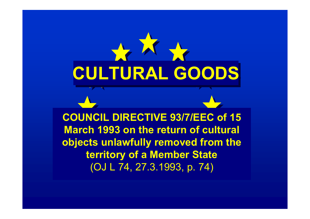

**COUNCIL DIRECTIVE 93/7/EEC of 15 March 1993 on the return of cultural objects unlawfully removed from the territory of a Member State**  (OJ L 74, 27.3.1993, p. 74)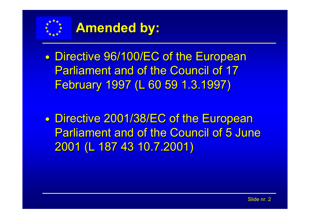

## **Amended by: Amended by:**

 $\bullet$ • Directive 96/100/EC of the European **Parliament and of the Council of 17** February 1997 (L 60 59 1.3.1997)

 $\bullet$ • Directive 2001/38/EC of the European Parliament and of the Council of 5 June 2001 (L 187 43 10.7.2001) 2001 (L 187 43 10.7.2001)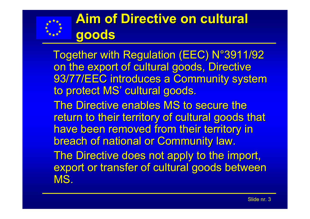

## **Aim of Directive on cultural Aim of Directive on cultural goods**

Together with Regulation (EEC) N°3911/92 on the export of cultural goods, Directive 93/77/EEC introduces a Community system to protect MS' cultural goods. The Directive enables MS to secure the return to their territory of cultural goods that have been removed from their territory in breach of national or Community law. The Directive does not apply to the import, export or transfer of cultural goods between MS.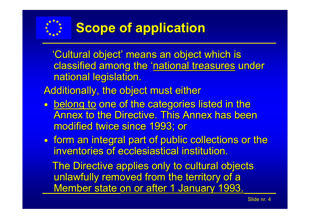

'Cultural object' means an object which is classified among the 'national treasures under national legislation.

Additionally, the object must either

 $\bullet$ • <u>belong to</u> one of the categories listed in the Annex to the Directive. This Annex has been modified twice since 1993; or

 $\bullet$ • form an integral part of public collections or the inventories of ecclesiastical institution.

The Directive applies only to cultural objects unlawfully removed from the territory of a Member state on or after 1 January 1993.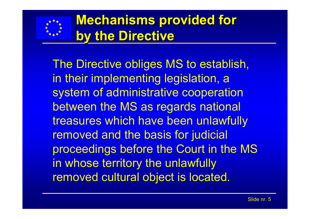

## **Mechanisms provided for by the Directive by the Directive**

The Directive obliges MS to establish, in their implementing legislation, a system of administrative cooperation between the MS as regards national treasures which have been unlawfully removed and the basis for judicial proceedings before the Court in the MS in whose territory the unlawfully removed cultural object is located.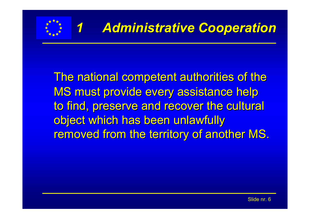

The national competent authorities of the MS must provide every assistance help to find, preserve and recover the cultural object which has been unlawfully removed from the territory of another MS.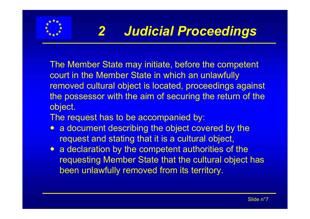

- The Member State may initiate, before the competent court in the Member State in which an unlawfully removed cultural object is located, proceedings against the possessor with the aim of securing the return of the object.
- The request has to be accompanied by:
- a document describing the object covered by the request and stating that it is a cultural object,
- a declaration by the competent authorities of the requesting Member State that the cultural object has been unlawfully removed from its territory.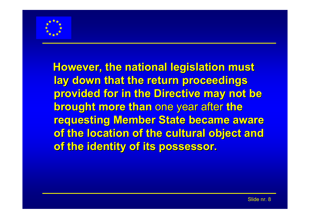

**However, the national legislation must lay down that the return proceedings** provided for in the Directive may not be **brought more than one year after the requesting Member State became aware** of the location of the cultural object and **of the identity of its possessor. of the identity of its possessor.**